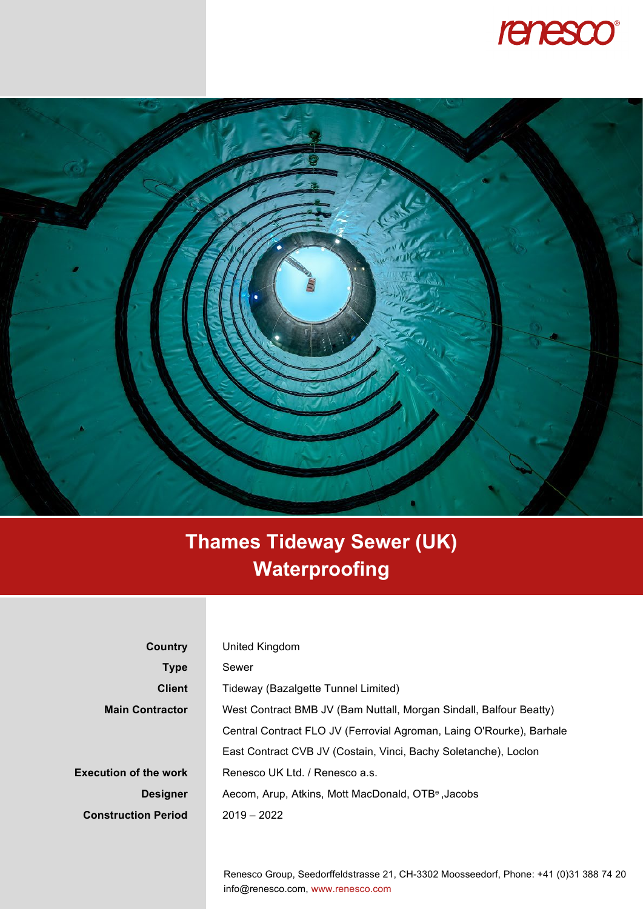



## **Thames Tideway Sewer (UK) Waterproofing**

| Country                      | United Kingdom                                                       |
|------------------------------|----------------------------------------------------------------------|
| <b>Type</b>                  | Sewer                                                                |
| <b>Client</b>                | Tideway (Bazalgette Tunnel Limited)                                  |
| <b>Main Contractor</b>       | West Contract BMB JV (Bam Nuttall, Morgan Sindall, Balfour Beatty)   |
|                              | Central Contract FLO JV (Ferrovial Agroman, Laing O'Rourke), Barhale |
|                              | East Contract CVB JV (Costain, Vinci, Bachy Soletanche), Loclon      |
| <b>Execution of the work</b> | Renesco UK Ltd. / Renesco a.s.                                       |
| <b>Designer</b>              | Aecom, Arup, Atkins, Mott MacDonald, OTB <sup>e</sup> , Jacobs       |
| <b>Construction Period</b>   | $2019 - 2022$                                                        |
|                              |                                                                      |

Renesco Group, Seedorffeldstrasse 21, CH-3302 Moosseedorf, Phone: +41 (0)31 388 74 20 info@renesco.com, www.renesco.com